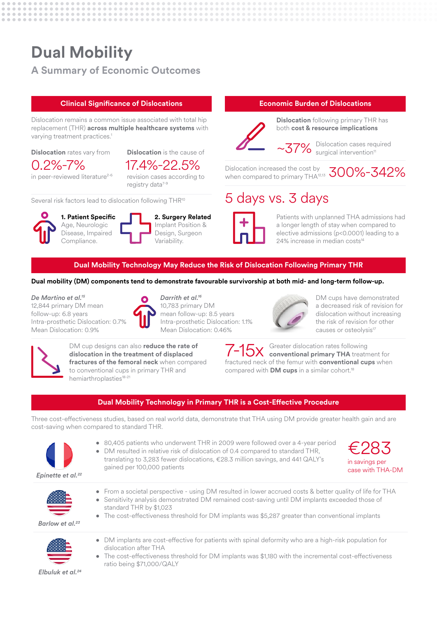# **Dual Mobility**

## **A Summary of Economic Outcomes**

#### **Clinical Significance of Dislocations**

Dislocation remains a common issue associated with total hip replacement (THR) **across multiple healthcare systems** with varying treatment practices.<sup>1</sup>

#### **Dislocation** rates vary from

0.2%-7%

**Dislocation** is the cause of 17.4%-22.5%

in peer-reviewed literature<sup>2-6</sup>

revision cases according to registry data<sup>7-9</sup>

Several risk factors lead to dislocation following THR<sup>10</sup>



**1. Patient Specific** Age, Neurologic Disease, Impaired Compliance.

| 2. Surgery Related |
|--------------------|
| Implant Position & |
| Design, Surgeon    |
| Variability.       |

#### **Economic Burden of Dislocations**



**Dislocation** following primary THR has both **cost & resource implications**

Dislocation cases required  $\sim$ 37% Dislocation cases rec

Dislocation increased the cost by Dislocation increased the cost by<br>when compared to primary THA<sup>12,13</sup>  $300\%$ – $342\%$ 

# 5 days vs. 3 days



Patients with unplanned THA admissions had a longer length of stay when compared to elective admissions (p<0.0001) leading to a 24% increase in median costs<sup>14</sup>

#### **Dual Mobility Technology May Reduce the Risk of Dislocation Following Primary THR**

#### **Dual mobility (DM) components tend to demonstrate favourable survivorship at both mid- and long-term follow-up.**

*De Martino et al.15*

12,844 primary DM mean follow-up: 6.8 years Intra-prosthetic Dislocation: 0.7% Mean Dislocation: 0.9%



*Darrith et al.16* 10,783 primary DM mean follow-up: 8.5 years Intra-prosthetic Dislocation: 1.1% Mean Dislocation: 0.46%



DM cups have demonstrated a decreased risk of revision for dislocation without increasing the risk of revision for other causes or osteolysis<sup>17</sup>



DM cup designs can also **reduce the rate of dislocation in the treatment of displaced fractures of the femoral neck** when compared to conventional cups in primary THR and hemiarthroplasties<sup>18-21</sup>

Greater dislocation rates following **conventional primary THA** treatment for fractured neck of the femur with **conventional cups** when compared with **DM cups** in a similar cohort.18 7-15x

### **Dual Mobility Technology in Primary THR is a Cost-Effective Procedure**

Three cost-effectiveness studies, based on real world data, demonstrate that THA using DM provide greater health gain and are cost-saving when compared to standard THR.



• 80,405 patients who underwent THR in 2009 were followed over a 4-year period • DM resulted in relative risk of dislocation of 0.4 compared to standard THR,

translating to 3,283 fewer dislocations, €28.3 million savings, and 441 QALY's gained per 100,000 patients





- From a societal perspective using DM resulted in lower accrued costs & better quality of life for THA • Sensitivity analysis demonstrated DM remained cost-saving until DM implants exceeded those of
- standard THR by \$1,023

• The cost-effectiveness threshold for DM implants was \$5,287 greater than conventional implants

- DM implants are cost-effective for patients with spinal deformity who are a high-risk population for dislocation after THA
- The cost-effectiveness threshold for DM implants was \$1,180 with the incremental cost-effectiveness ratio being \$71,000/QALY

 *Elbuluk et al.24*